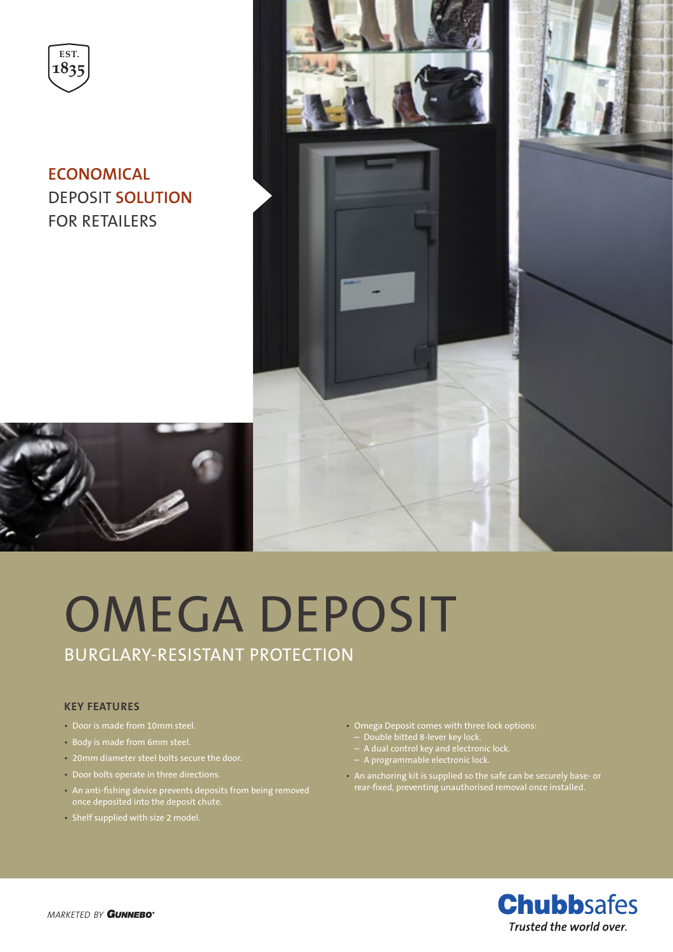

**ECONOMICAL**  DEPOSIT **SOLUTION** FOR RETAILERS



## OMEGA DEPOSIT BURGLARY-RESISTANT PROTECTION

## **KEY FEATURES**

- Door is made from 10mm steel.
- Body is made from 6mm steel.
- 20mm diameter steel bolts secure the door.
- Door bolts operate in three directions.
- An anti-fishing device prevents deposits from being removed once deposited into the deposit chute.
- Shelf supplied with size 2 model.
- Omega Deposit comes with three lock options:
- Double bitted 8-lever key lock.
- A dual control key and electronic lock.
- A programmable electronic lock.
- An anchoring kit is supplied so the safe can be securely base- or rear-fixed, preventing unauthorised removal once installed.